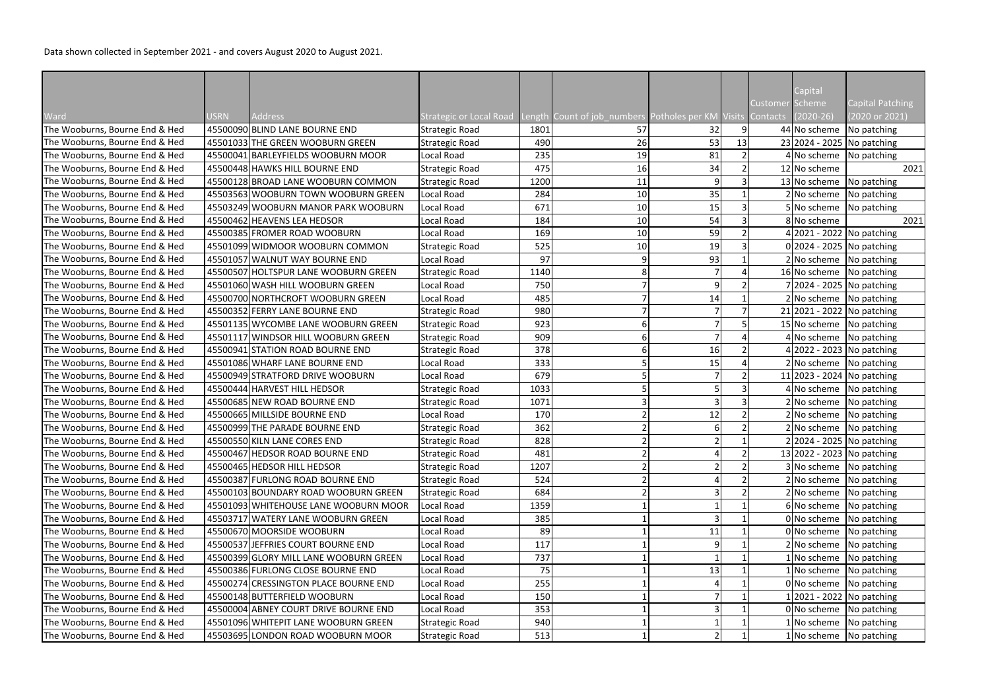Data shown collected in September 2021 - and covers August 2020 to August 2021.

|                                |      |                                        |                                |      |                                                             |               |                | Capital                      |                         |
|--------------------------------|------|----------------------------------------|--------------------------------|------|-------------------------------------------------------------|---------------|----------------|------------------------------|-------------------------|
|                                |      |                                        |                                |      |                                                             |               |                | Customer Scheme              | <b>Capital Patching</b> |
| Ward                           | USRN | <b>Address</b>                         | <b>Strategic or Local Road</b> |      | Length Count of job_numbers Potholes per KM Visits Contacts |               |                | $(2020-26)$                  | (2020 or 2021)          |
| The Wooburns, Bourne End & Hed |      | 45500090 BLIND LANE BOURNE END         | <b>Strategic Road</b>          | 1801 | 57                                                          | 32            | 9 <sub>l</sub> | 44 No scheme No patching     |                         |
| The Wooburns, Bourne End & Hed |      | 45501033 THE GREEN WOOBURN GREEN       | <b>Strategic Road</b>          | 490  | 26                                                          | 53            | 13             | 23 2024 - 2025 No patching   |                         |
| The Wooburns, Bourne End & Hed |      | 45500041 BARLEYFIELDS WOOBURN MOOR     | Local Road                     | 235  | 19                                                          | 81            |                | $4 No scheme$ No patching    |                         |
| The Wooburns, Bourne End & Hed |      | 45500448 HAWKS HILL BOURNE END         | <b>Strategic Road</b>          | 475  | 16                                                          | 34            |                | 12 No scheme                 | 2021                    |
| The Wooburns, Bourne End & Hed |      | 45500128 BROAD LANE WOOBURN COMMON     | <b>Strategic Road</b>          | 1200 | 11                                                          | 9             |                | 13 No scheme No patching     |                         |
| The Wooburns, Bourne End & Hed |      | 45503563 WOOBURN TOWN WOOBURN GREEN    | Local Road                     | 284  | 10                                                          | 35            |                | 2 No scheme No patching      |                         |
| The Wooburns, Bourne End & Hed |      | 45503249 WOOBURN MANOR PARK WOOBURN    | Local Road                     | 671  | 10                                                          | 15            |                | 5 No scheme No patching      |                         |
| The Wooburns, Bourne End & Hed |      | 45500462 HEAVENS LEA HEDSOR            | Local Road                     | 184  | 10                                                          | 54            |                | 8 No scheme                  | 2021                    |
| The Wooburns, Bourne End & Hed |      | 45500385 FROMER ROAD WOOBURN           | Local Road                     | 169  | 10                                                          | 59            |                | 4 2021 - 2022 No patching    |                         |
| The Wooburns, Bourne End & Hed |      | 45501099 WIDMOOR WOOBURN COMMON        | <b>Strategic Road</b>          | 525  | 10                                                          | 19            |                | 0 2024 - 2025 No patching    |                         |
| The Wooburns, Bourne End & Hed |      | 45501057 WALNUT WAY BOURNE END         | Local Road                     | 97   |                                                             | 93            |                | 2 No scheme No patching      |                         |
| The Wooburns, Bourne End & Hed |      | 45500507 HOLTSPUR LANE WOOBURN GREEN   | <b>Strategic Road</b>          | 1140 |                                                             |               |                | 16 No scheme No patching     |                         |
| The Wooburns, Bourne End & Hed |      | 45501060 WASH HILL WOOBURN GREEN       | Local Road                     | 750  |                                                             | 9             |                | 7 2024 - 2025   No patching  |                         |
| The Wooburns, Bourne End & Hed |      | 45500700 NORTHCROFT WOOBURN GREEN      | Local Road                     | 485  |                                                             | 14            |                | $2 No scheme$ No patching    |                         |
| The Wooburns, Bourne End & Hed |      | 45500352 FERRY LANE BOURNE END         | <b>Strategic Road</b>          | 980  |                                                             |               |                | 21 2021 - 2022   No patching |                         |
| The Wooburns, Bourne End & Hed |      | 45501135 WYCOMBE LANE WOOBURN GREEN    | <b>Strategic Road</b>          | 923  |                                                             |               |                | 15 No scheme No patching     |                         |
| The Wooburns, Bourne End & Hed |      | 45501117 WINDSOR HILL WOOBURN GREEN    | <b>Strategic Road</b>          | 909  |                                                             |               |                | 4 No scheme No patching      |                         |
| The Wooburns, Bourne End & Hed |      | 45500941 STATION ROAD BOURNE END       | <b>Strategic Road</b>          | 378  |                                                             | 16            |                | 4 2022 - 2023   No patching  |                         |
| The Wooburns, Bourne End & Hed |      | 45501086 WHARF LANE BOURNE END         | Local Road                     | 333  |                                                             | 15            |                | 2 No scheme No patching      |                         |
| The Wooburns, Bourne End & Hed |      | 45500949 STRATFORD DRIVE WOOBURN       | Local Road                     | 679  |                                                             |               |                | 11 2023 - 2024   No patching |                         |
| The Wooburns, Bourne End & Hed |      | 45500444 HARVEST HILL HEDSOR           | <b>Strategic Road</b>          | 1033 |                                                             |               |                | 4 No scheme No patching      |                         |
| The Wooburns, Bourne End & Hed |      | 45500685 NEW ROAD BOURNE END           | <b>Strategic Road</b>          | 1071 |                                                             |               |                | 2 No scheme No patching      |                         |
| The Wooburns, Bourne End & Hed |      | 45500665 MILLSIDE BOURNE END           | Local Road                     | 170  |                                                             | 12            |                | $2 No scheme$ No patching    |                         |
| The Wooburns, Bourne End & Hed |      | 45500999 THE PARADE BOURNE END         | <b>Strategic Road</b>          | 362  |                                                             |               |                | 2 No scheme No patching      |                         |
| The Wooburns, Bourne End & Hed |      | 45500550 KILN LANE CORES END           | <b>Strategic Road</b>          | 828  |                                                             | $\mathcal{D}$ |                | 2 2024 - 2025 No patching    |                         |
| The Wooburns, Bourne End & Hed |      | 45500467 HEDSOR ROAD BOURNE END        | <b>Strategic Road</b>          | 481  |                                                             |               |                | 13 2022 - 2023 No patching   |                         |
| The Wooburns, Bourne End & Hed |      | 45500465 HEDSOR HILL HEDSOR            | <b>Strategic Road</b>          | 1207 |                                                             |               |                | 3 No scheme No patching      |                         |
| The Wooburns, Bourne End & Hed |      | 45500387 FURLONG ROAD BOURNE END       | <b>Strategic Road</b>          | 524  |                                                             |               |                | 2 No scheme No patching      |                         |
| The Wooburns, Bourne End & Hed |      | 45500103 BOUNDARY ROAD WOOBURN GREEN   | <b>Strategic Road</b>          | 684  |                                                             |               |                | 2 No scheme No patching      |                         |
| The Wooburns, Bourne End & Hed |      | 45501093 WHITEHOUSE LANE WOOBURN MOOR  | Local Road                     | 1359 |                                                             |               |                | 6 No scheme No patching      |                         |
| The Wooburns, Bourne End & Hed |      | 45503717 WATERY LANE WOOBURN GREEN     | Local Road                     | 385  |                                                             |               |                | $0 $ No scheme   No patching |                         |
| The Wooburns, Bourne End & Hed |      | 45500670 MOORSIDE WOOBURN              | Local Road                     | 89   |                                                             | 11            |                | 0 No scheme No patching      |                         |
| The Wooburns, Bourne End & Hed |      | 45500537 JEFFRIES COURT BOURNE END     | Local Road                     | 117  |                                                             |               |                | 2 No scheme No patching      |                         |
| The Wooburns, Bourne End & Hed |      | 45500399 GLORY MILL LANE WOOBURN GREEN | Local Road                     | 737  |                                                             |               |                | 1 No scheme No patching      |                         |
| The Wooburns, Bourne End & Hed |      | 45500386 FURLONG CLOSE BOURNE END      | Local Road                     | 75   |                                                             | 13            |                | 1 No scheme No patching      |                         |
| The Wooburns, Bourne End & Hed |      | 45500274 CRESSINGTON PLACE BOURNE END  | Local Road                     | 255  |                                                             |               |                | 0 No scheme No patching      |                         |
| The Wooburns, Bourne End & Hed |      | 45500148 BUTTERFIELD WOOBURN           | Local Road                     | 150  |                                                             |               |                | 1 2021 - 2022   No patching  |                         |
| The Wooburns, Bourne End & Hed |      | 45500004 ABNEY COURT DRIVE BOURNE END  | Local Road                     | 353  |                                                             |               |                | $0 $ No scheme   No patching |                         |
| The Wooburns, Bourne End & Hed |      | 45501096 WHITEPIT LANE WOOBURN GREEN   | <b>Strategic Road</b>          | 940  |                                                             |               |                | 1 No scheme No patching      |                         |
| The Wooburns, Bourne End & Hed |      | 45503695 LONDON ROAD WOOBURN MOOR      | <b>Strategic Road</b>          | 513  |                                                             | $\mathcal{P}$ |                | 1 No scheme No patching      |                         |